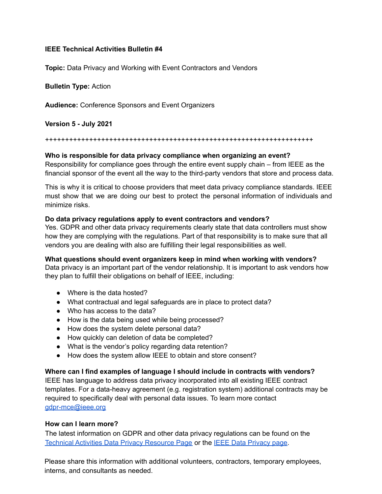# **IEEE Technical Activities Bulletin #4**

**Topic:** Data Privacy and Working with Event Contractors and Vendors

**Bulletin Type:** Action

**Audience:** Conference Sponsors and Event Organizers

**Version 5 - July 2021**

#### +++++++++++++++++++++++++++++++++++++++++++++++++++++++++++++++++++

### **Who is responsible for data privacy compliance when organizing an event?**

Responsibility for compliance goes through the entire event supply chain – from IEEE as the financial sponsor of the event all the way to the third-party vendors that store and process data.

This is why it is critical to choose providers that meet data privacy compliance standards. IEEE must show that we are doing our best to protect the personal information of individuals and minimize risks.

### **Do data privacy regulations apply to event contractors and vendors?**

Yes. GDPR and other data privacy requirements clearly state that data controllers must show how they are complying with the regulations. Part of that responsibility is to make sure that all vendors you are dealing with also are fulfilling their legal responsibilities as well.

**What questions should event organizers keep in mind when working with vendors?**

Data privacy is an important part of the vendor relationship. It is important to ask vendors how they plan to fulfill their obligations on behalf of IEEE, including:

- Where is the data hosted?
- What contractual and legal safeguards are in place to protect data?
- Who has access to the data?
- How is the data being used while being processed?
- How does the system delete personal data?
- How quickly can deletion of data be completed?
- What is the vendor's policy regarding data retention?
- How does the system allow IEEE to obtain and store consent?

# **Where can I find examples of language I should include in contracts with vendors?**

IEEE has language to address data privacy incorporated into all existing IEEE contract templates. For a data-heavy agreement (e.g. registration system) additional contracts may be required to specifically deal with personal data issues. To learn more contact [gdpr-mce@ieee.org](mailto:gdpr-mce@ieee.org)

## **How can I learn more?**

The latest information on GDPR and other data privacy regulations can be found on the Technical Activities Data Privacy [Resource](https://ta.ieee.org/operations/technical-activities-gdpr-resource-page) Page or the IEEE Data [Privacy](https://www.ieee.org/gdpr.html) page[.](http://www.ieee.org/gdpr.html))

Please share this information with additional volunteers, contractors, temporary employees, interns, and consultants as needed.